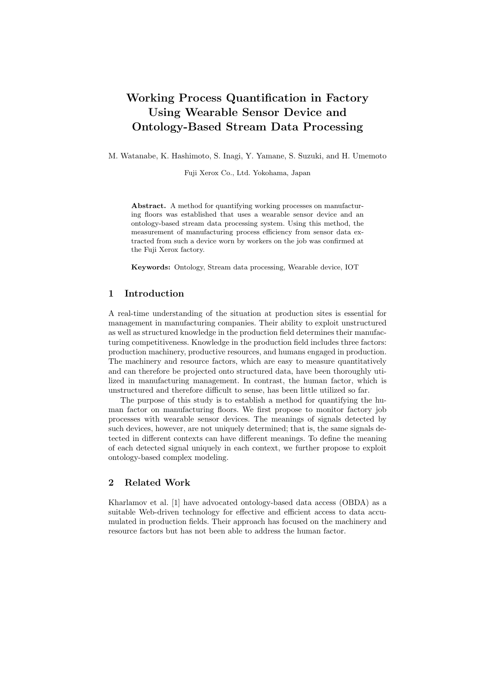# Working Process Quantification in Factory Using Wearable Sensor Device and Ontology-Based Stream Data Processing

M. Watanabe, K. Hashimoto, S. Inagi, Y. Yamane, S. Suzuki, and H. Umemoto

Fuji Xerox Co., Ltd. Yokohama, Japan

Abstract. A method for quantifying working processes on manufacturing floors was established that uses a wearable sensor device and an ontology-based stream data processing system. Using this method, the measurement of manufacturing process efficiency from sensor data extracted from such a device worn by workers on the job was confirmed at the Fuji Xerox factory.

Keywords: Ontology, Stream data processing, Wearable device, IOT

# 1 Introduction

A real-time understanding of the situation at production sites is essential for management in manufacturing companies. Their ability to exploit unstructured as well as structured knowledge in the production field determines their manufacturing competitiveness. Knowledge in the production field includes three factors: production machinery, productive resources, and humans engaged in production. The machinery and resource factors, which are easy to measure quantitatively and can therefore be projected onto structured data, have been thoroughly utilized in manufacturing management. In contrast, the human factor, which is unstructured and therefore difficult to sense, has been little utilized so far.

The purpose of this study is to establish a method for quantifying the human factor on manufacturing floors. We first propose to monitor factory job processes with wearable sensor devices. The meanings of signals detected by such devices, however, are not uniquely determined; that is, the same signals detected in different contexts can have different meanings. To define the meaning of each detected signal uniquely in each context, we further propose to exploit ontology-based complex modeling.

## 2 Related Work

Kharlamov et al. [1] have advocated ontology-based data access (OBDA) as a suitable Web-driven technology for effective and efficient access to data accumulated in production fields. Their approach has focused on the machinery and resource factors but has not been able to address the human factor.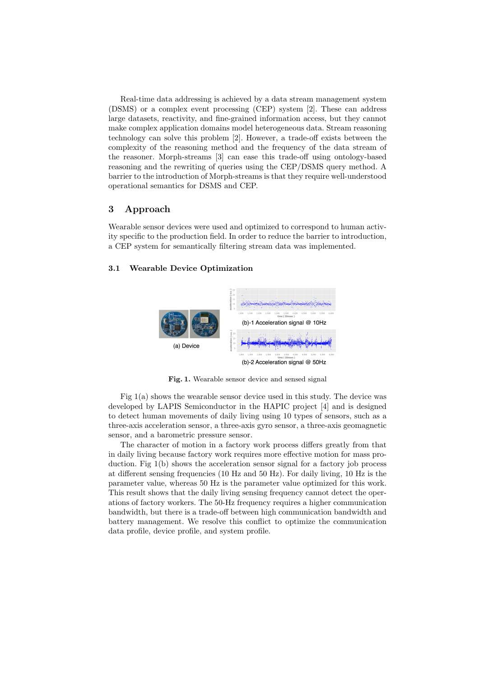Real-time data addressing is achieved by a data stream management system (DSMS) or a complex event processing (CEP) system [2]. These can address large datasets, reactivity, and fine-grained information access, but they cannot make complex application domains model heterogeneous data. Stream reasoning technology can solve this problem [2]. However, a trade-off exists between the complexity of the reasoning method and the frequency of the data stream of the reasoner. Morph-streams [3] can ease this trade-off using ontology-based reasoning and the rewriting of queries using the CEP/DSMS query method. A barrier to the introduction of Morph-streams is that they require well-understood operational semantics for DSMS and CEP.

## 3 Approach

Wearable sensor devices were used and optimized to correspond to human activity specific to the production field. In order to reduce the barrier to introduction, a CEP system for semantically filtering stream data was implemented.

## 3.1 Wearable Device Optimization



Fig. 1. Wearable sensor device and sensed signal

Fig 1(a) shows the wearable sensor device used in this study. The device was developed by LAPIS Semiconductor in the HAPIC project [4] and is designed to detect human movements of daily living using 10 types of sensors, such as a three-axis acceleration sensor, a three-axis gyro sensor, a three-axis geomagnetic sensor, and a barometric pressure sensor.

The character of motion in a factory work process differs greatly from that in daily living because factory work requires more effective motion for mass production. Fig 1(b) shows the acceleration sensor signal for a factory job process at different sensing frequencies (10 Hz and 50 Hz). For daily living, 10 Hz is the parameter value, whereas 50 Hz is the parameter value optimized for this work. This result shows that the daily living sensing frequency cannot detect the operations of factory workers. The 50-Hz frequency requires a higher communication bandwidth, but there is a trade-off between high communication bandwidth and battery management. We resolve this conflict to optimize the communication data profile, device profile, and system profile.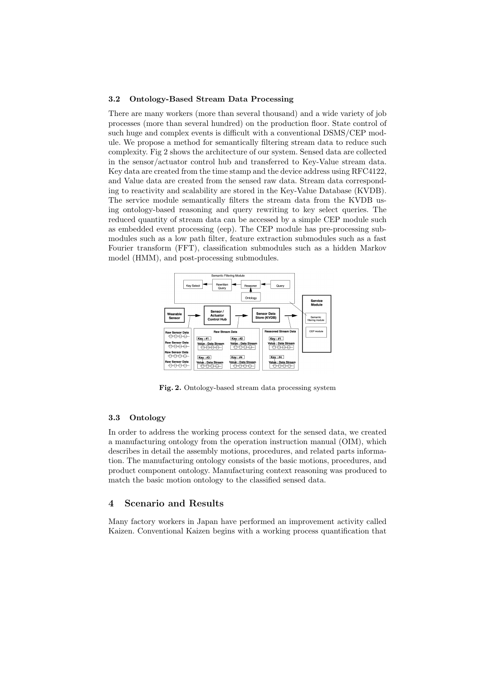#### 3.2 Ontology-Based Stream Data Processing

There are many workers (more than several thousand) and a wide variety of job processes (more than several hundred) on the production floor. State control of such huge and complex events is difficult with a conventional DSMS/CEP module. We propose a method for semantically filtering stream data to reduce such complexity. Fig 2 shows the architecture of our system. Sensed data are collected in the sensor/actuator control hub and transferred to Key-Value stream data. Key data are created from the time stamp and the device address using RFC4122, and Value data are created from the sensed raw data. Stream data corresponding to reactivity and scalability are stored in the Key-Value Database (KVDB). The service module semantically filters the stream data from the KVDB using ontology-based reasoning and query rewriting to key select queries. The reduced quantity of stream data can be accessed by a simple CEP module such as embedded event processing (eep). The CEP module has pre-processing submodules such as a low path filter, feature extraction submodules such as a fast Fourier transform (FFT), classification submodules such as a hidden Markov model (HMM), and post-processing submodules.



Fig. 2. Ontology-based stream data processing system

### 3.3 Ontology

In order to address the working process context for the sensed data, we created a manufacturing ontology from the operation instruction manual (OIM), which describes in detail the assembly motions, procedures, and related parts information. The manufacturing ontology consists of the basic motions, procedures, and product component ontology. Manufacturing context reasoning was produced to match the basic motion ontology to the classified sensed data.

## 4 Scenario and Results

Many factory workers in Japan have performed an improvement activity called Kaizen. Conventional Kaizen begins with a working process quantification that